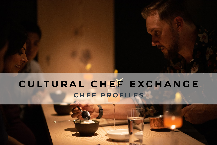# C U LT U R A L C H E F E X C H A N G E **CHEF PROFILES**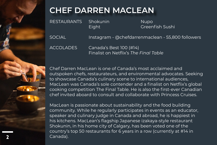

## **CHEF DARREN MACLEAN**

RESTAURANTS Shokunin Nupo Eight Greenfish Sushi

SOCIAL Instagram - @chefdarrenmaclean - 55,800 followers

ACCOLADES Canada's Best 100 (#14) Finalist on Netflix's *The Final Table*

Chef Darren MacLean is one of Canada's most acclaimed and outspoken chefs, restaurateurs, and environmental advocates. Seeking to showcase Canada's culinary scene to international audiences, MacLean was Canada's sole contender and a finalist on Netflix's global cooking competition The Final Table. He is also the first-ever Canadian chef invited aboard to consult and collaborate with Princess Cruises.

MacLean is passionate about sustainability and the food building community. While he regularly participates in events as an educator, speaker and culinary judge in Canada and abroad, he is happiest in his kitchens. MacLean's flagship Japanese izakaya-style restaurant Shokunin, in his home city of Calgary, has been voted one of the country's top 50 restaurants for 6 years in a row (currently at #14 in Canada).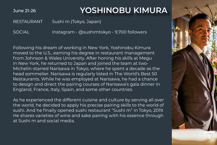June 21-26

#### **YOSHINOBU KIMURA**

RESTAURANT Sushi m (Tokyo, Japan)

SOCIAL Instagram - @sushimtokyo - 9,700 followers

Following his dream of working in New York, Yoshinobu Kimura moved to the U.S., earning his degree in restaurant management from Johnson & Wales University. After honing his skills at Megu in New York, he returned to Japan and joined the team at two-Michelin-starred Narisawa in Tokyo, where he spent a decade as the head sommelier. Narisawa is regularly listed in The World's Best 50 Restaurants. While he was employed at Narisawa, he had a chance to design and direct the pairing courses of Narisawa's gala dinner in England, France, Italy, Spain, and some other countries.

As he experienced the different cuisine and culture by serving all over the world, he decided to apply his precise pairing skills to the world of sushi. And he finally opened sushi restaurant "Sushi m" in Tokyo, 2019. He shares varieties of wine and sake pairing with his essence through at Sushi m and social media.

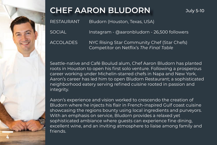

# **CHEF AARON BLUDORN**

RESTAURANT Bludorn (Houston, Texas, USA)

SOCIAL Instagram - @aaronbludorn - 26,500 followers

ACCOLADES NYC Rising Star Community Chef (Star Chefs) Competitor on Netflix's *The Final Table*

Seattle-native and Café Boulud alum, Chef Aaron Bludorn has planted roots in Houston to open his first solo venture. Following a prosperous career working under Michelin-starred chefs in Napa and New York, Aaron's career has led him to open Bludorn Restaurant; a sophisticated neighborhood eatery serving refined cuisine rooted in passion and integrity.

Aaron's experience and vision worked to crescendo the creation of Bludorn where he injects his flair in French-inspired Gulf coast cuisine showcasing the regions bounty using local ingredients and purveyors. With an emphasis on service, Bludorn provides a relaxed yet sophisticated ambiance where guests can experience fine dining, excellent wine, and an inviting atmosphere to liaise among family and friends.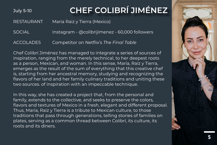# July 5-10 **CHEF COLIBRÍ JIMÉNEZ**

RESTAURANT Maria Raiz y Tierra (Mexico)

SOCIAL Instagram - @colibrijimenez - 60,000 followers

ACCOLADES Competitor on Netflix's *The Final Table*

Chef Colibrí Jiménez has managed to integrate a series of sources of inspiration, ranging from the merely technical, to her deepest roots as a person, Mexican, and woman. In this sense, María, Raíz y Tierra, emerges as the result of the sum of everything that this creative chef is, starting from her ancestral memory, studying and recognizing the flavors of her land and her family culinary traditions and uniting these two sources. of inspiration with an impeccable technique.

In this way, she has created a project that, from the personal and family, extends to the collective, and seeks to preserve the colors, flavors and textures of Mexico in a fresh, elegant and different proposal. Thus, María, Raíz y Tierra is a tribute to Mexican culture, to those traditions that pass through generations, telling stories of families on plates, serving as a common thread between Colibrí, its culture, its roots and its diners.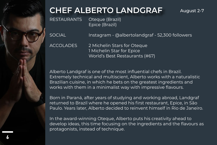

# **CHEF ALBERTO LANDGRAF** August 2-7

RESTAURANTS Oteque (Brazil) Epice (Brazil)

SOCIAL Instagram - @albertolandgraf - 52,300 followers

ACCOLADES 2 Michelin Stars for Oteque 1 Michelin Star for Epice World's Best Restaurants (#67)

Alberto Landgraf is one of the most influential chefs in Brazil. Extremely technical and multiscient, Alberto works with a naturalistic Brazilian cuisine, in which he bets on the greatest ingredients and works with them in a minimalist way with impressive flavours.

Born in Paraná, after years of studying and working abroad, Landgraf returned to Brazil where he opened his first restaurant, Epice, in São Paulo. Years later, Alberto decided to reinvent himself in Rio de Janeiro.

In the award-winning Oteque, Alberto puts his creativity ahead to develop ideas, this time focusing on the ingredients and the flavours as protagonists, instead of technique.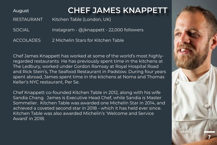#### August **CHEF JAMES KNAPPETT**

RESTAURANT Kitchen Table (London, UK)

SOCIAL Instagram - @jknappett - 22,000 followers

ACCOLADES 2 Michelin Stars for Kitchen Table

Chef James Knappett has worked at some of the world's most highlyregarded restaurants He has previously spent time in the kitchens at The Ledbury, worked under Gordon Ramsay at Royal Hospital Road and Rick Stein's, The Seafood Restaurant in Padstow. During four years spent abroad, James spent time in the kitchens at Noma and Thomas Keller's NYC restaurant, Per Se.

Chef Knappett co-founded Kitchen Table in 2012, along with his wife Sandia Chang. James is Executive Head Chef, while Sandia is Master Sommelier. Kitchen Table was awarded one Michelin Star in 2014, and achieved a coveted second star in 2018 - which it has held ever since. Kitchen Table was also awarded Michelin's 'Welcome and Service Award' in 2018.

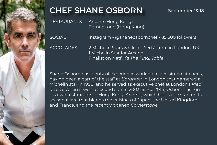

# **CHEF SHANE OSBORN** September 13-18

RESTAURANTS Arcane (Hong Kong) Cornerstone (Hong Kong)

SOCIAL Instagram - @shaneosbornchef - 85,600 followers

ACCOLADES 2 Michelin Stars while at Pied à Terre in London, UK 1 Michelin Star for Arcane Finalist on Netflix's *The Final Table*

Shane Osborn has plenty of experience working in acclaimed kitchens, having been a part of the staff at *L'oranger* in London that garnered a Michelin star in 1996, and he served as executive chef at London's *Pied à Terre* when it won a second star in 2003. Since 2014, Osborn has run his own restaurants in Hong Kong, *Arcane*, which holds one star for its seasonal fare that blends the cuisines of Japan, the United Kingdom, and France, and the recently opened *Cornerstone*.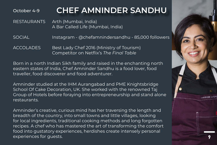### October 4-9 **CHEF AMNINDER SANDHU**

RESTAURANTS Arth (Mumbai, India) A Bar Called Life (Mumbai, India)

SOCIAL Instagram - @chefamnindersandhu - 85,000 followers

ACCOLADES Best Lady Chef 2016 (Ministry of Tourism) Competitor on Netflix's *The Final Table*

Born in a north Indian Sikh family and raised in the enchanting north eastern states of India, Chef Amninder Sandhu is a food lover, food traveller, food discoverer and food adventurer.

Amninder studied at the IHM Aurangabad and PME Knightsbridge School Of Cake Decoration, UK. She worked with the renowned Taj Group of Hotels before foraying into entrepreneurship and stand alone restaurants.

Amninder's creative, curious mind has her traversing the length and breadth of the country, into small towns and little villages, looking for local ingredients, traditional cooking methods and long forgotten recipes. A chef who has mastered the art of transforming the comfort food into gustatory experiences, herdishes create intensely personal experiences for guests.

9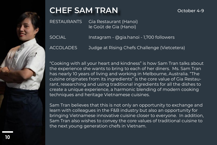

# **CHEF SAM TRAN** October 4-9

RESTAURANTS Gia Restaurant (Hanoi) le Goût de Gia (Hanoi)

SOCIAL Instagram - @gia.hanoi - 1,700 followers

ACCOLADES Judge at Rising Chefs Challenge (Vietcetera)

"Cooking with all your heart and kindness" is how Sam Tran talks about the experience she wants to bring to each of her diners. Ms. Sam Tran has nearly 10 years of living and working in Melbourne, Australia. "The cuisine originates from its ingredients" is the core value of Gia Restaurant, researching and using traditional ingredients for all the dishes to create a unique experience, a harmonic blending of modern cooking techniques and heritage Vietnamese cuisines.

Sam Tran believes that this is not only an opportunity to exchange and learn with colleagues in the F&B industry but also an opportunity for bringing Vietnamese innovative cuisine closer to everyone. In addition, Sam Tran also wishes to convey the core values of traditional cuisine to the next young generation chefs in Vietnam.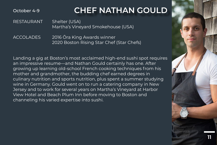October 4-9

### **CHEF NATHAN GOULD**

11

RESTAURANT Shelter (USA) Martha's Vineyard Smokehouse (USA)

ACCOLADES 2016 Ōra King Awards winner 2020 Boston Rising Star Chef (Star Chefs)

Landing a gig at Boston's most acclaimed high-end sushi spot requires an impressive resume—and Nathan Gould certainly has one. After growing up learning old-school French cooking techniques from his mother and grandmother, the budding chef earned degrees in culinary nutrition and sports nutrition, plus spent a summer studying wine in Germany. Gould went on to run a catering company in New Jersey and to work for several years on Martha's Vineyard at Harbor View Hotel and Beach Plum Inn before moving to Boston and channeling his varied expertise into sushi.